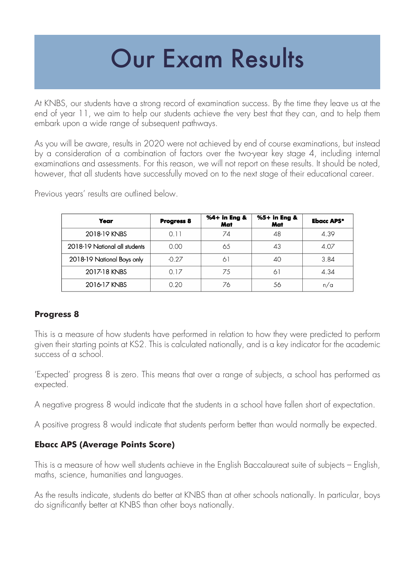## Our Exam Results

At KNBS, our students have a strong record of examination success. By the time they leave us at the end of year 11, we aim to help our students achieve the very best that they can, and to help them embark upon a wide range of subsequent pathways.

As you will be aware, results in 2020 were not achieved by end of course examinations, but instead by a consideration of a combination of factors over the two-year key stage 4, including internal examinations and assessments. For this reason, we will not report on these results. It should be noted, however, that all students have successfully moved on to the next stage of their educational career.

| Year                          | <b>Progress 8</b> | %4+ in Eng &<br>Mat | %5+ in Eng &<br>Mat | <b>Ebacc APS*</b> |
|-------------------------------|-------------------|---------------------|---------------------|-------------------|
| 2018-19 KNBS                  | 0.11              | 74                  | 48                  | 4.39              |
| 2018-19 National all students | 0.00              | 65                  | 43                  | 4.07              |
| 2018-19 National Boys only    | $-0.27$           | 61                  | 40                  | 3.84              |
| 2017-18 KNBS                  | 0.17              | 75                  | $\sigma$            | 4.34              |
| 2016-17 KNBS                  | 0.20              | 76                  | 56                  | n/a               |

Previous years' results are outlined below.

### **Progress 8**

This is a measure of how students have performed in relation to how they were predicted to perform given their starting points at KS2. This is calculated nationally, and is a key indicator for the academic success of a school.

'Expected' progress 8 is zero. This means that over a range of subjects, a school has performed as expected.

A negative progress 8 would indicate that the students in a school have fallen short of expectation.

A positive progress 8 would indicate that students perform better than would normally be expected.

### **Ebacc APS (Average Points Score)**

This is a measure of how well students achieve in the English Baccalaureat suite of subjects – English, maths, science, humanities and languages.

As the results indicate, students do better at KNBS than at other schools nationally. In particular, boys do significantly better at KNBS than other boys nationally.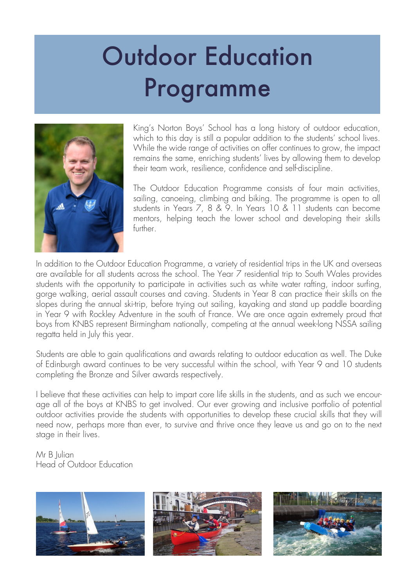# Outdoor Education Programme



King's Norton Boys' School has a long history of outdoor education, which to this day is still a popular addition to the students' school lives. While the wide range of activities on offer continues to grow, the impact remains the same, enriching students' lives by allowing them to develop their team work, resilience, confidence and self-discipline.

The Outdoor Education Programme consists of four main activities, sailing, canoeing, climbing and biking. The programme is open to all students in Years 7, 8 & 9. In Years 10 & 11 students can become mentors, helping teach the lower school and developing their skills further.

In addition to the Outdoor Education Programme, a variety of residential trips in the UK and overseas are available for all students across the school. The Year 7 residential trip to South Wales provides students with the opportunity to participate in activities such as white water rafting, indoor surfing, gorge walking, aerial assault courses and caving. Students in Year 8 can practice their skills on the slopes during the annual ski-trip, before trying out sailing, kayaking and stand up paddle boarding in Year 9 with Rockley Adventure in the south of France. We are once again extremely proud that boys from KNBS represent Birmingham nationally, competing at the annual week-long NSSA sailing regatta held in July this year.

Students are able to gain qualifications and awards relating to outdoor education as well. The Duke of Edinburgh award continues to be very successful within the school, with Year 9 and 10 students completing the Bronze and Silver awards respectively.

I believe that these activities can help to impart core life skills in the students, and as such we encourage all of the boys at KNBS to get involved. Our ever growing and inclusive portfolio of potential outdoor activities provide the students with opportunities to develop these crucial skills that they will need now, perhaps more than ever, to survive and thrive once they leave us and go on to the next stage in their lives.

Mr B Iulian Head of Outdoor Education

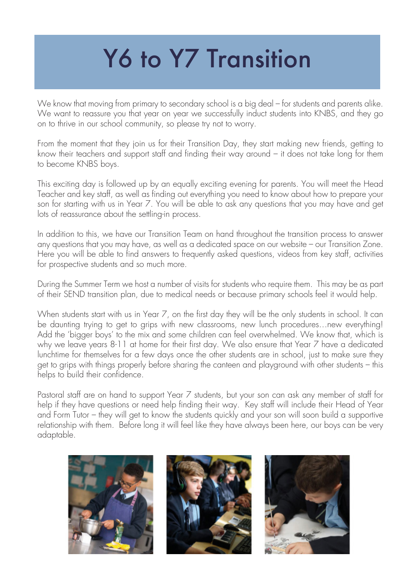# Y6 to Y7 Transition

We know that moving from primary to secondary school is a big deal – for students and parents alike. We want to reassure you that year on year we successfully induct students into KNBS, and they go on to thrive in our school community, so please try not to worry.

From the moment that they join us for their Transition Day, they start making new friends, getting to know their teachers and support staff and finding their way around – it does not take long for them to become KNBS boys.

This exciting day is followed up by an equally exciting evening for parents. You will meet the Head Teacher and key staff, as well as finding out everything you need to know about how to prepare your son for starting with us in Year 7. You will be able to ask any questions that you may have and get lots of reassurance about the settling-in process.

In addition to this, we have our Transition Team on hand throughout the transition process to answer any questions that you may have, as well as a dedicated space on our website – our Transition Zone. Here you will be able to find answers to frequently asked questions, videos from key staff, activities for prospective students and so much more.

During the Summer Term we host a number of visits for students who require them. This may be as part of their SEND transition plan, due to medical needs or because primary schools feel it would help.

When students start with us in Year 7, on the first day they will be the only students in school. It can be daunting trying to get to grips with new classrooms, new lunch procedures…new everything! Add the 'bigger boys' to the mix and some children can feel overwhelmed. We know that, which is why we leave years 8-11 at home for their first day. We also ensure that Year 7 have a dedicated lunchtime for themselves for a few days once the other students are in school, just to make sure they get to grips with things properly before sharing the canteen and playground with other students – this helps to build their confidence.

Pastoral staff are on hand to support Year 7 students, but your son can ask any member of staff for help if they have questions or need help finding their way. Key staff will include their Head of Year and Form Tutor – they will get to know the students quickly and your son will soon build a supportive relationship with them. Before long it will feel like they have always been here, our boys can be very adaptable.